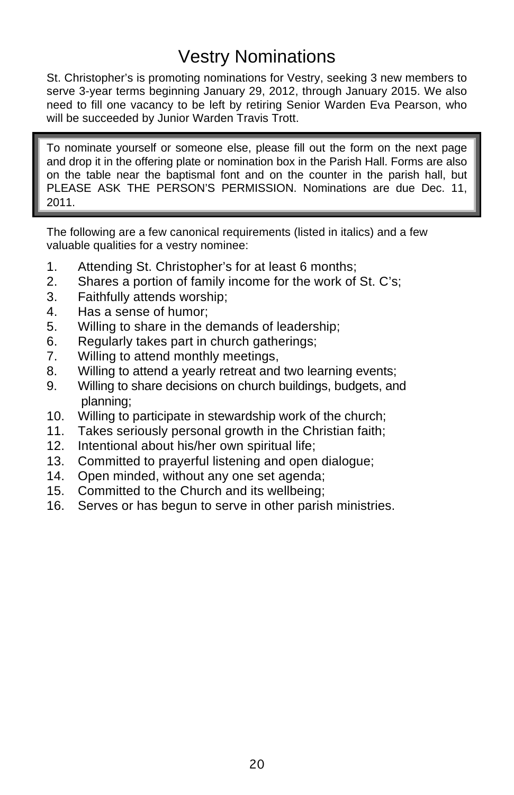## Vestry Nominations

St. Christopher's is promoting nominations for Vestry, seeking 3 new members to serve 3-year terms beginning January 29, 2012, through January 2015. We also need to fill one vacancy to be left by retiring Senior Warden Eva Pearson, who will be succeeded by Junior Warden Travis Trott.

To nominate yourself or someone else, please fill out the form on the next page and drop it in the offering plate or nomination box in the Parish Hall. Forms are also on the table near the baptismal font and on the counter in the parish hall, but PLEASE ASK THE PERSON'S PERMISSION. Nominations are due Dec. 11, 2011.

The following are a few canonical requirements (listed in italics) and a few valuable qualities for a vestry nominee:

- 1. Attending St. Christopher's for at least 6 months;
- 2. Shares a portion of family income for the work of St. C's;
- 3. Faithfully attends worship;
- 4. Has a sense of humor;
- 5. Willing to share in the demands of leadership;
- 6. Regularly takes part in church gatherings;
- 7. Willing to attend monthly meetings,
- 8. Willing to attend a yearly retreat and two learning events;
- 9. Willing to share decisions on church buildings, budgets, and planning;
- 10. Willing to participate in stewardship work of the church;
- 11. Takes seriously personal growth in the Christian faith;
- 12. Intentional about his/her own spiritual life;
- 13. Committed to prayerful listening and open dialogue;
- 14. Open minded, without any one set agenda;
- 15. Committed to the Church and its wellbeing;
- 16. Serves or has begun to serve in other parish ministries.